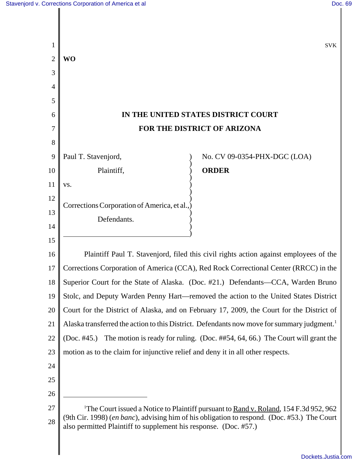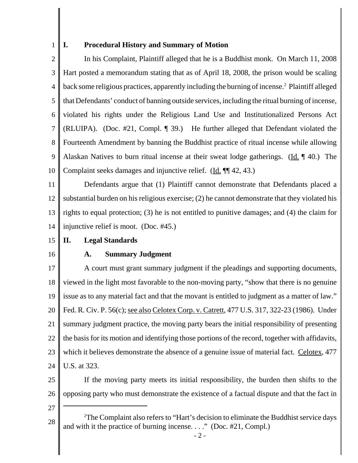#### **I. Procedural History and Summary of Motion**

2 3 4 5 6 7 8 9 10 In his Complaint, Plaintiff alleged that he is a Buddhist monk. On March 11, 2008 Hart posted a memorandum stating that as of April 18, 2008, the prison would be scaling back some religious practices, apparently including the burning of incense.<sup>2</sup> Plaintiff alleged that Defendants' conduct of banning outside services, including the ritual burning of incense, violated his rights under the Religious Land Use and Institutionalized Persons Act (RLUIPA). (Doc. #21, Compl. ¶ 39.) He further alleged that Defendant violated the Fourteenth Amendment by banning the Buddhist practice of ritual incense while allowing Alaskan Natives to burn ritual incense at their sweat lodge gatherings. (Id.  $\parallel$  40.) The Complaint seeks damages and injunctive relief. (Id. ¶¶ 42, 43.)

11 12 13 14 Defendants argue that (1) Plaintiff cannot demonstrate that Defendants placed a substantial burden on his religious exercise; (2) he cannot demonstrate that they violated his rights to equal protection; (3) he is not entitled to punitive damages; and (4) the claim for injunctive relief is moot. (Doc. #45.)

#### 15 **II. Legal Standards**

16

1

#### **A. Summary Judgment**

17 18 19 20 21 22 23 24 A court must grant summary judgment if the pleadings and supporting documents, viewed in the light most favorable to the non-moving party, "show that there is no genuine issue as to any material fact and that the movant is entitled to judgment as a matter of law." Fed. R. Civ. P. 56(c); see also Celotex Corp. v. Catrett, 477 U.S. 317, 322-23 (1986). Under summary judgment practice, the moving party bears the initial responsibility of presenting the basis for its motion and identifying those portions of the record, together with affidavits, which it believes demonstrate the absence of a genuine issue of material fact. Celotex, 477 U.S. at 323.

25 26 If the moving party meets its initial responsibility, the burden then shifts to the opposing party who must demonstrate the existence of a factual dispute and that the fact in

<sup>28</sup> <sup>2</sup>The Complaint also refers to "Hart's decision to eliminate the Buddhist service days and with it the practice of burning incense. . . ." (Doc. #21, Compl.)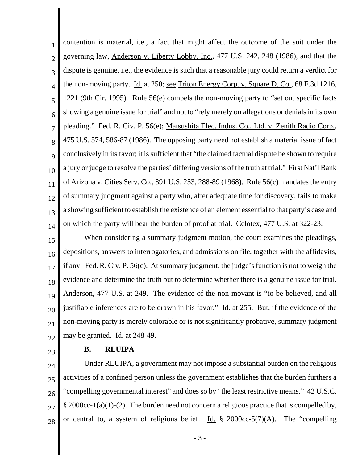1 2 3 4 5 6 7 8 9 10 11 12 13 14 contention is material, i.e., a fact that might affect the outcome of the suit under the governing law, Anderson v. Liberty Lobby, Inc., 477 U.S. 242, 248 (1986), and that the dispute is genuine, i.e., the evidence is such that a reasonable jury could return a verdict for the non-moving party. Id. at 250; see Triton Energy Corp. v. Square D. Co., 68 F.3d 1216, 1221 (9th Cir. 1995). Rule 56(e) compels the non-moving party to "set out specific facts showing a genuine issue for trial" and not to "rely merely on allegations or denials in its own pleading." Fed. R. Civ. P. 56(e); Matsushita Elec. Indus. Co., Ltd. v. Zenith Radio Corp., 475 U.S. 574, 586-87 (1986). The opposing party need not establish a material issue of fact conclusively in its favor; it is sufficient that "the claimed factual dispute be shown to require a jury or judge to resolve the parties' differing versions of the truth at trial." First Nat'l Bank of Arizona v. Cities Serv. Co., 391 U.S. 253, 288-89 (1968). Rule 56(c) mandates the entry of summary judgment against a party who, after adequate time for discovery, fails to make a showing sufficient to establish the existence of an element essential to that party's case and on which the party will bear the burden of proof at trial. Celotex, 477 U.S. at 322-23.

15 16 17 18 19 20 21 22 When considering a summary judgment motion, the court examines the pleadings, depositions, answers to interrogatories, and admissions on file, together with the affidavits, if any. Fed. R. Civ. P. 56(c). At summary judgment, the judge's function is not to weigh the evidence and determine the truth but to determine whether there is a genuine issue for trial. Anderson, 477 U.S. at 249. The evidence of the non-movant is "to be believed, and all justifiable inferences are to be drawn in his favor."  $\underline{Id}$  at 255. But, if the evidence of the non-moving party is merely colorable or is not significantly probative, summary judgment may be granted. Id. at 248-49.

23

# **B. RLUIPA**

24 25 26 27 28 Under RLUIPA, a government may not impose a substantial burden on the religious activities of a confined person unless the government establishes that the burden furthers a "compelling governmental interest" and does so by "the least restrictive means." 42 U.S.C.  $\S 2000cc-1(a)(1)-(2)$ . The burden need not concern a religious practice that is compelled by, or central to, a system of religious belief. Id.  $\S$  2000cc-5(7)(A). The "compelling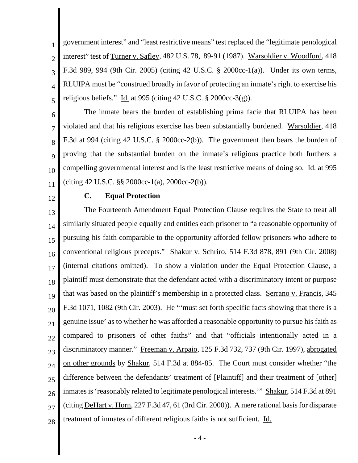1 2 3 4 5 government interest" and "least restrictive means" test replaced the "legitimate penological interest" test of Turner v. Safley, 482 U.S. 78, 89-91 (1987). Warsoldier v. Woodford, 418 F.3d 989, 994 (9th Cir. 2005) (citing 42 U.S.C. § 2000cc-1(a)). Under its own terms, RLUIPA must be "construed broadly in favor of protecting an inmate's right to exercise his religious beliefs." Id. at 995 (citing 42 U.S.C.  $\S$  2000cc-3(g)).

6 7 8 9 10 11 The inmate bears the burden of establishing prima facie that RLUIPA has been violated and that his religious exercise has been substantially burdened. Warsoldier, 418 F.3d at 994 (citing 42 U.S.C. § 2000cc-2(b)). The government then bears the burden of proving that the substantial burden on the inmate's religious practice both furthers a compelling governmental interest and is the least restrictive means of doing so. Id. at 995 (citing 42 U.S.C. §§ 2000cc-1(a), 2000cc-2(b)).

12

### **C. Equal Protection**

13 14 15 16 17 18 19 20 21 22 23 24 25 26 27 28 The Fourteenth Amendment Equal Protection Clause requires the State to treat all similarly situated people equally and entitles each prisoner to "a reasonable opportunity of pursuing his faith comparable to the opportunity afforded fellow prisoners who adhere to conventional religious precepts." Shakur v. Schriro, 514 F.3d 878, 891 (9th Cir. 2008) (internal citations omitted). To show a violation under the Equal Protection Clause, a plaintiff must demonstrate that the defendant acted with a discriminatory intent or purpose that was based on the plaintiff's membership in a protected class. Serrano v. Francis, 345 F.3d 1071, 1082 (9th Cir. 2003). He "'must set forth specific facts showing that there is a genuine issue' as to whether he was afforded a reasonable opportunity to pursue his faith as compared to prisoners of other faiths" and that "officials intentionally acted in a discriminatory manner." Freeman v. Arpaio, 125 F.3d 732, 737 (9th Cir. 1997), abrogated on other grounds by Shakur, 514 F.3d at 884-85. The Court must consider whether "the difference between the defendants' treatment of [Plaintiff] and their treatment of [other] inmates is 'reasonably related to legitimate penological interests." Shakur, 514 F.3d at 891 (citing DeHart v. Horn, 227 F.3d 47, 61 (3rd Cir. 2000)). A mere rational basis for disparate treatment of inmates of different religious faiths is not sufficient. Id.

 $-4-$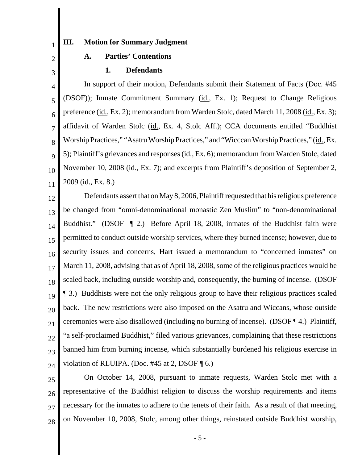### **III. Motion for Summary Judgment**

# 2

3

1

# **1. Defendants**

**A. Parties' Contentions**

4 5 6 7 8 9 10 11 In support of their motion, Defendants submit their Statement of Facts (Doc. #45 (DSOF)); Inmate Commitment Summary (id., Ex. 1); Request to Change Religious preference (id., Ex. 2); memorandum from Warden Stolc, dated March 11, 2008 (id., Ex. 3); affidavit of Warden Stolc (id., Ex. 4, Stolc Aff.); CCA documents entitled "Buddhist Worship Practices," "Asatru Worship Practices," and "Wicccan Worship Practices," (id., Ex. 5); Plaintiff's grievances and responses (id., Ex. 6); memorandum from Warden Stolc, dated November 10, 2008 (id., Ex. 7); and excerpts from Plaintiff's deposition of September 2,  $2009$  (id., Ex. 8.)

12 13 14 15 16 17 18 19 20 21 22 23 24 Defendants assert that on May 8, 2006, Plaintiff requested that his religious preference be changed from "omni-denominational monastic Zen Muslim" to "non-denominational Buddhist." (DSOF ¶ 2.) Before April 18, 2008, inmates of the Buddhist faith were permitted to conduct outside worship services, where they burned incense; however, due to security issues and concerns, Hart issued a memorandum to "concerned inmates" on March 11, 2008, advising that as of April 18, 2008, some of the religious practices would be scaled back, including outside worship and, consequently, the burning of incense. (DSOF ¶ 3.) Buddhists were not the only religious group to have their religious practices scaled back. The new restrictions were also imposed on the Asatru and Wiccans, whose outside ceremonies were also disallowed (including no burning of incense). (DSOF ¶ 4.) Plaintiff, "a self-proclaimed Buddhist," filed various grievances, complaining that these restrictions banned him from burning incense, which substantially burdened his religious exercise in violation of RLUIPA. (Doc. #45 at 2, DSOF  $\P$  6.)

25 26 27 28 On October 14, 2008, pursuant to inmate requests, Warden Stolc met with a representative of the Buddhist religion to discuss the worship requirements and items necessary for the inmates to adhere to the tenets of their faith. As a result of that meeting, on November 10, 2008, Stolc, among other things, reinstated outside Buddhist worship,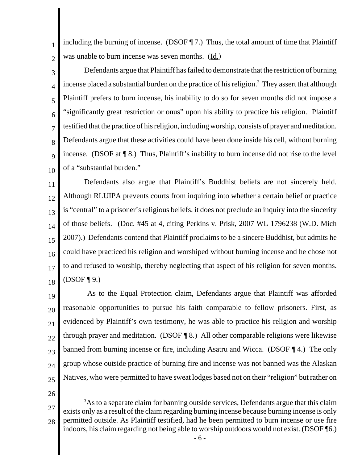1 2 including the burning of incense. (DSOF ¶ 7.) Thus, the total amount of time that Plaintiff was unable to burn incense was seven months. (Id.)

3 4 5 6 7 8 9 10 Defendants argue that Plaintiff has failed to demonstrate that the restriction of burning incense placed a substantial burden on the practice of his religion.<sup>3</sup> They assert that although Plaintiff prefers to burn incense, his inability to do so for seven months did not impose a "significantly great restriction or onus" upon his ability to practice his religion. Plaintiff testified that the practice of his religion, including worship, consists of prayer and meditation. Defendants argue that these activities could have been done inside his cell, without burning incense. (DSOF at  $\P$  8.) Thus, Plaintiff's inability to burn incense did not rise to the level of a "substantial burden."

11 12 13 14 15 16 17 18 Defendants also argue that Plaintiff's Buddhist beliefs are not sincerely held. Although RLUIPA prevents courts from inquiring into whether a certain belief or practice is "central" to a prisoner's religious beliefs, it does not preclude an inquiry into the sincerity of those beliefs. (Doc. #45 at 4, citing Perkins v. Prisk, 2007 WL 1796238 (W.D. Mich 2007).) Defendants contend that Plaintiff proclaims to be a sincere Buddhist, but admits he could have practiced his religion and worshiped without burning incense and he chose not to and refused to worship, thereby neglecting that aspect of his religion for seven months.  $(DSOF \P 9.)$ 

19 20 21 22 23  $24$ 25 As to the Equal Protection claim, Defendants argue that Plaintiff was afforded reasonable opportunities to pursue his faith comparable to fellow prisoners. First, as evidenced by Plaintiff's own testimony, he was able to practice his religion and worship through prayer and meditation. (DSOF ¶ 8.) All other comparable religions were likewise banned from burning incense or fire, including Asatru and Wicca. (DSOF ¶ 4.) The only group whose outside practice of burning fire and incense was not banned was the Alaskan Natives, who were permitted to have sweat lodges based not on their "religion" but rather on

<sup>27</sup> 28 <sup>3</sup>As to a separate claim for banning outside services, Defendants argue that this claim exists only as a result of the claim regarding burning incense because burning incense is only permitted outside. As Plaintiff testified, had he been permitted to burn incense or use fire indoors, his claim regarding not being able to worship outdoors would not exist. (DSOF ¶6.)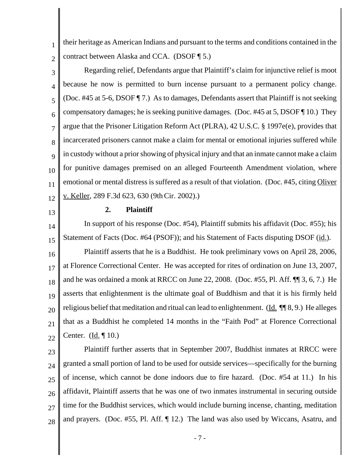their heritage as American Indians and pursuant to the terms and conditions contained in the contract between Alaska and CCA. (DSOF ¶ 5.)

3 4 5 6 7 8 9 10 11 12 Regarding relief, Defendants argue that Plaintiff's claim for injunctive relief is moot because he now is permitted to burn incense pursuant to a permanent policy change. (Doc. #45 at 5-6, DSOF ¶ 7.) As to damages, Defendants assert that Plaintiff is not seeking compensatory damages; he is seeking punitive damages. (Doc. #45 at 5, DSOF ¶ 10.) They argue that the Prisoner Litigation Reform Act (PLRA), 42 U.S.C. § 1997e(e), provides that incarcerated prisoners cannot make a claim for mental or emotional injuries suffered while in custody without a prior showing of physical injury and that an inmate cannot make a claim for punitive damages premised on an alleged Fourteenth Amendment violation, where emotional or mental distress is suffered as a result of that violation. (Doc. #45, citing Oliver v. Keller, 289 F.3d 623, 630 (9thCir. 2002).)

13

1

2

#### **2. Plaintiff**

14 15 16 17 18 In support of his response (Doc. #54), Plaintiff submits his affidavit (Doc. #55); his Statement of Facts (Doc. #64 (PSOF)); and his Statement of Facts disputing DSOF (id.). Plaintiff asserts that he is a Buddhist. He took preliminary vows on April 28, 2006, at Florence Correctional Center. He was accepted for rites of ordination on June 13, 2007, and he was ordained a monk at RRCC on June 22, 2008. (Doc. #55, Pl. Aff. ¶¶ 3, 6, 7.) He

19 20 21 22 asserts that enlightenment is the ultimate goal of Buddhism and that it is his firmly held religious belief that meditation and ritual can lead to enlightenment. (Id.  $\P$   $\otimes$ ,  $\otimes$ .) He alleges that as a Buddhist he completed 14 months in the "Faith Pod" at Florence Correctional Center. (Id. ¶ 10.)

23

24 25 26 27 28 Plaintiff further asserts that in September 2007, Buddhist inmates at RRCC were granted a small portion of land to be used for outside services—specifically for the burning of incense, which cannot be done indoors due to fire hazard. (Doc. #54 at 11.) In his affidavit, Plaintiff asserts that he was one of two inmates instrumental in securing outside time for the Buddhist services, which would include burning incense, chanting, meditation and prayers. (Doc. #55, Pl. Aff. ¶ 12.) The land was also used by Wiccans, Asatru, and

- 7 -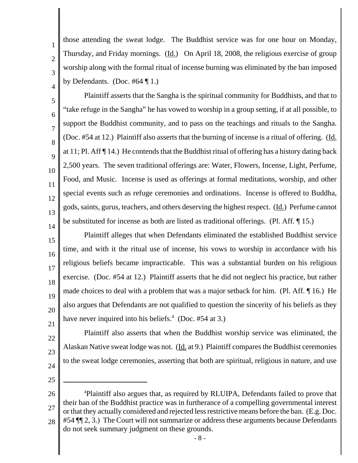those attending the sweat lodge. The Buddhist service was for one hour on Monday, Thursday, and Friday mornings. (Id.) On April 18, 2008, the religious exercise of group worship along with the formal ritual of incense burning was eliminated by the ban imposed by Defendants. (Doc.  $#64 \parallel 1$ .)

10 13 14 Plaintiff asserts that the Sangha is the spiritual community for Buddhists, and that to "take refuge in the Sangha" he has vowed to worship in a group setting, if at all possible, to support the Buddhist community, and to pass on the teachings and rituals to the Sangha. (Doc. #54 at 12.) Plaintiff also asserts that the burning of incense is a ritual of offering. (Id. at 11; Pl. Aff ¶ 14.) He contends that the Buddhist ritual of offering has a history dating back 2,500 years. The seven traditional offerings are: Water, Flowers, Incense, Light, Perfume, Food, and Music. Incense is used as offerings at formal meditations, worship, and other special events such as refuge ceremonies and ordinations. Incense is offered to Buddha, gods, saints, gurus, teachers, and others deserving the highest respect. (Id.) Perfume cannot be substituted for incense as both are listed as traditional offerings. (Pl. Aff. ¶ 15.)

15 16 17 18 19 20 Plaintiff alleges that when Defendants eliminated the established Buddhist service time, and with it the ritual use of incense, his vows to worship in accordance with his religious beliefs became impracticable. This was a substantial burden on his religious exercise. (Doc. #54 at 12.) Plaintiff asserts that he did not neglect his practice, but rather made choices to deal with a problem that was a major setback for him. (Pl. Aff. ¶ 16.) He also argues that Defendants are not qualified to question the sincerity of his beliefs as they have never inquired into his beliefs.<sup>4</sup> (Doc. #54 at 3.)

Plaintiff also asserts that when the Buddhist worship service was eliminated, the

Alaskan Native sweat lodge was not. (Id. at 9.) Plaintiff compares the Buddhist ceremonies

to the sweat lodge ceremonies, asserting that both are spiritual, religious in nature, and use

21 22

1

2

3

4

5

6

7

8

9

11

- 23
- 
- 24 25

<sup>26</sup> 27 28 4 Plaintiff also argues that, as required by RLUIPA, Defendants failed to prove that their ban of the Buddhist practice was in furtherance of a compelling governmental interest or that they actually considered and rejected less restrictive means before the ban. (E.g. Doc. #54 ¶¶ 2, 3.) The Court will not summarize or address these arguments because Defendants do not seek summary judgment on these grounds.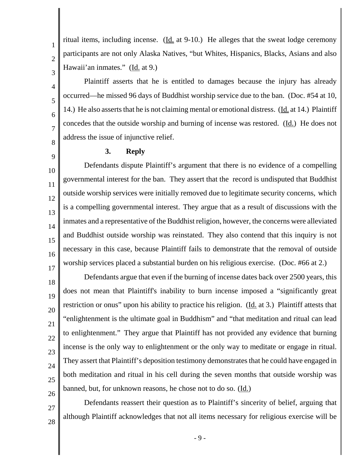ritual items, including incense.  $(\underline{Id}$  at 9-10.) He alleges that the sweat lodge ceremony participants are not only Alaska Natives, "but Whites, Hispanics, Blacks, Asians and also Hawaii'an inmates." (Id. at 9.)

Plaintiff asserts that he is entitled to damages because the injury has already occurred—he missed 96 days of Buddhist worship service due to the ban. (Doc. #54 at 10, 14.) He also asserts that he is not claiming mental or emotional distress. (Id. at 14.) Plaintiff concedes that the outside worship and burning of incense was restored. (Id.) He does not address the issue of injunctive relief.

**3. Reply**

1

2

3

4

5

6

7

8

9

18

19

20

21

22

23

24

25

26

27

28

10 11 12 13 14 15 16 17 Defendants dispute Plaintiff's argument that there is no evidence of a compelling governmental interest for the ban. They assert that the record is undisputed that Buddhist outside worship services were initially removed due to legitimate security concerns, which is a compelling governmental interest. They argue that as a result of discussions with the inmates and a representative of the Buddhist religion, however, the concerns were alleviated and Buddhist outside worship was reinstated. They also contend that this inquiry is not necessary in this case, because Plaintiff fails to demonstrate that the removal of outside worship services placed a substantial burden on his religious exercise. (Doc. #66 at 2.)

Defendants argue that even if the burning of incense dates back over 2500 years, this does not mean that Plaintiff's inability to burn incense imposed a "significantly great restriction or onus" upon his ability to practice his religion. (Id. at 3.) Plaintiff attests that "enlightenment is the ultimate goal in Buddhism" and "that meditation and ritual can lead to enlightenment." They argue that Plaintiff has not provided any evidence that burning incense is the only way to enlightenment or the only way to meditate or engage in ritual. They assert that Plaintiff's deposition testimony demonstrates that he could have engaged in both meditation and ritual in his cell during the seven months that outside worship was banned, but, for unknown reasons, he chose not to do so. (Id.)

Defendants reassert their question as to Plaintiff's sincerity of belief, arguing that although Plaintiff acknowledges that not all items necessary for religious exercise will be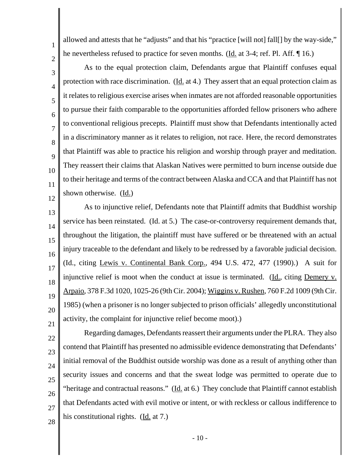allowed and attests that he "adjusts" and that his "practice [will not] fall[] by the way-side," he nevertheless refused to practice for seven months. (Id. at 3-4; ref. Pl. Aff. ¶ 16.)

1

2

3

4

5

6

7

8

9

10

11

12

As to the equal protection claim, Defendants argue that Plaintiff confuses equal protection with race discrimination. (Id. at 4.) They assert that an equal protection claim as it relates to religious exercise arises when inmates are not afforded reasonable opportunities to pursue their faith comparable to the opportunities afforded fellow prisoners who adhere to conventional religious precepts. Plaintiff must show that Defendants intentionally acted in a discriminatory manner as it relates to religion, not race. Here, the record demonstrates that Plaintiff was able to practice his religion and worship through prayer and meditation. They reassert their claims that Alaskan Natives were permitted to burn incense outside due to their heritage and terms of the contract between Alaska and CCA and that Plaintiff has not shown otherwise. (Id.)

13 14 15 16 17 18 19 20 21 As to injunctive relief, Defendants note that Plaintiff admits that Buddhist worship service has been reinstated. (Id. at 5.) The case-or-controversy requirement demands that, throughout the litigation, the plaintiff must have suffered or be threatened with an actual injury traceable to the defendant and likely to be redressed by a favorable judicial decision. (Id., citing Lewis v. Continental Bank Corp., 494 U.S. 472, 477 (1990).) A suit for injunctive relief is moot when the conduct at issue is terminated. (Id., citing Demery  $v$ . Arpaio, 378 F.3d 1020, 1025-26 (9th Cir. 2004); Wiggins v. Rushen, 760 F.2d 1009 (9th Cir. 1985) (when a prisoner is no longer subjected to prison officials' allegedly unconstitutional activity, the complaint for injunctive relief become moot).)

22 23 24 25 26 27 28 Regarding damages, Defendants reassert their arguments under the PLRA. They also contend that Plaintiff has presented no admissible evidence demonstrating that Defendants' initial removal of the Buddhist outside worship was done as a result of anything other than security issues and concerns and that the sweat lodge was permitted to operate due to "heritage and contractual reasons." ( $\underline{Id}$ , at 6.) They conclude that Plaintiff cannot establish that Defendants acted with evil motive or intent, or with reckless or callous indifference to his constitutional rights.  $(\underline{Id}$  at 7.)

 $-10-$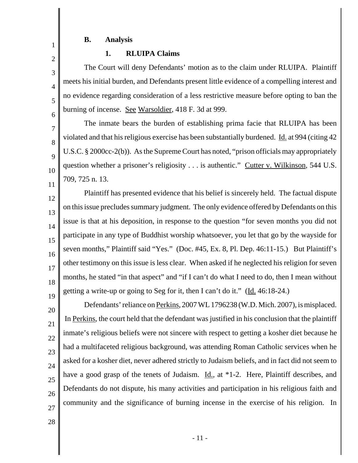# **B. Analysis**

1

2

3

4

5

6

7

8

9

10

11

# **1. RLUIPA Claims**

The Court will deny Defendants' motion as to the claim under RLUIPA. Plaintiff meets his initial burden, and Defendants present little evidence of a compelling interest and no evidence regarding consideration of a less restrictive measure before opting to ban the burning of incense. See Warsoldier, 418 F. 3d at 999.

The inmate bears the burden of establishing prima facie that RLUIPA has been violated and that his religious exercise has been substantially burdened. Id. at 994 (citing 42 U.S.C. § 2000cc-2(b)). As the Supreme Court has noted, "prison officials may appropriately question whether a prisoner's religiosity . . . is authentic." Cutter v. Wilkinson, 544 U.S. 709, 725 n. 13.

12 13 14 15 16 17 18 19 Plaintiff has presented evidence that his belief is sincerely held. The factual dispute on this issue precludes summary judgment. The only evidence offered by Defendants on this issue is that at his deposition, in response to the question "for seven months you did not participate in any type of Buddhist worship whatsoever, you let that go by the wayside for seven months," Plaintiff said "Yes." (Doc. #45, Ex. 8, Pl. Dep. 46:11-15.) But Plaintiff's other testimony on this issue is less clear. When asked if he neglected his religion for seven months, he stated "in that aspect" and "if I can't do what I need to do, then I mean without getting a write-up or going to Seg for it, then I can't do it." (Id. 46:18-24.)

20 21 22 23 24 25 26 27 Defendants' reliance on Perkins, 2007 WL 1796238 (W.D. Mich. 2007), is misplaced. In Perkins, the court held that the defendant was justified in his conclusion that the plaintiff inmate's religious beliefs were not sincere with respect to getting a kosher diet because he had a multifaceted religious background, was attending Roman Catholic services when he asked for a kosher diet, never adhered strictly to Judaism beliefs, and in fact did not seem to have a good grasp of the tenets of Judaism.  $\underline{Id}$ , at \*1-2. Here, Plaintiff describes, and Defendants do not dispute, his many activities and participation in his religious faith and community and the significance of burning incense in the exercise of his religion. In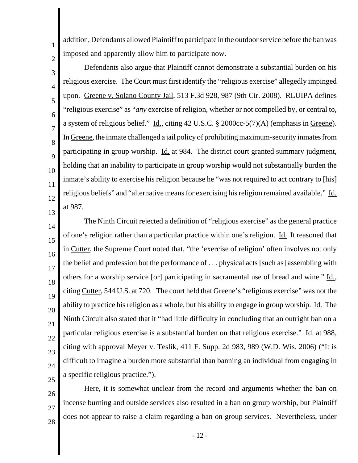addition, Defendants allowed Plaintiff to participate in the outdoor service before the ban was imposed and apparently allow him to participate now.

2 3

4

5

6

7

8

9

10

11

12

1

Defendants also argue that Plaintiff cannot demonstrate a substantial burden on his religious exercise. The Court must first identify the "religious exercise" allegedly impinged upon. Greene v. Solano County Jail, 513 F.3d 928, 987 (9th Cir. 2008). RLUIPA defines "religious exercise" as "*any* exercise of religion, whether or not compelled by, or central to, a system of religious belief." Id., citing 42 U.S.C. § 2000cc-5(7)(A) (emphasis in Greene). In Greene, the inmate challenged a jail policy of prohibiting maximum-security inmates from participating in group worship. Id. at 984. The district court granted summary judgment, holding that an inability to participate in group worship would not substantially burden the inmate's ability to exercise his religion because he "was not required to act contrary to [his] religious beliefs" and "alternative means for exercising his religion remained available." Id. at 987.

13 14

15 16 17 18 19 20 21 22 23 24 The Ninth Circuit rejected a definition of "religious exercise" as the general practice of one's religion rather than a particular practice within one's religion. Id. It reasoned that in Cutter, the Supreme Court noted that, "the 'exercise of religion' often involves not only the belief and profession but the performance of . . . physical acts [such as] assembling with others for a worship service [or] participating in sacramental use of bread and wine." Id., citing Cutter, 544 U.S. at 720. The court held that Greene's "religious exercise" was not the ability to practice his religion as a whole, but his ability to engage in group worship. Id. The Ninth Circuit also stated that it "had little difficulty in concluding that an outright ban on a particular religious exercise is a substantial burden on that religious exercise." Id. at 988, citing with approval Meyer v. Teslik, 411 F. Supp. 2d 983, 989 (W.D. Wis. 2006) ("It is difficult to imagine a burden more substantial than banning an individual from engaging in a specific religious practice.").

- 25 26
- 27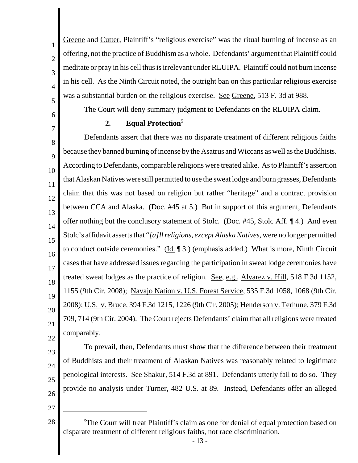Greene and Cutter, Plaintiff's "religious exercise" was the ritual burning of incense as an offering, not the practice of Buddhism as a whole. Defendants' argument that Plaintiff could meditate or pray in his cell thus is irrelevant under RLUIPA. Plaintiff could not burn incense in his cell. As the Ninth Circuit noted, the outright ban on this particular religious exercise was a substantial burden on the religious exercise. See Greene, 513 F. 3d at 988.

The Court will deny summary judgment to Defendants on the RLUIPA claim.

# 2. **Equal Protection**<sup>5</sup>

8 9 10 11 12 13 14 15 16 17 18 19 20 21 22 Defendants assert that there was no disparate treatment of different religious faiths because they banned burning of incense by the Asatrus and Wiccans as well as the Buddhists. According to Defendants, comparable religions were treated alike. As to Plaintiff's assertion that Alaskan Natives were still permitted to use the sweat lodge and burn grasses, Defendants claim that this was not based on religion but rather "heritage" and a contract provision between CCA and Alaska. (Doc. #45 at 5.) But in support of this argument, Defendants offer nothing but the conclusory statement of Stolc. (Doc. #45, Stolc Aff. ¶ 4.) And even Stolc's affidavit asserts that "*[a]ll religions, except Alaska Natives*, were no longer permitted to conduct outside ceremonies." ( $\underline{Id}$ .  $\P$  3.) (emphasis added.) What is more, Ninth Circuit cases that have addressed issues regarding the participation in sweat lodge ceremonies have treated sweat lodges as the practice of religion. See, e.g., Alvarez v. Hill, 518 F.3d 1152, 1155 (9th Cir. 2008); Navajo Nation v. U.S. Forest Service, 535 F.3d 1058, 1068 (9th Cir. 2008); U.S. v. Bruce, 394 F.3d 1215, 1226 (9th Cir. 2005); Henderson v. Terhune, 379 F.3d 709, 714 (9th Cir. 2004). The Court rejects Defendants' claim that all religions were treated comparably.

23 24 25 26 To prevail, then, Defendants must show that the difference between their treatment of Buddhists and their treatment of Alaskan Natives was reasonably related to legitimate penological interests. See Shakur, 514 F.3d at 891. Defendants utterly fail to do so. They provide no analysis under Turner, 482 U.S. at 89. Instead, Defendants offer an alleged

27

28

1

2

3

4

5

6

7

<sup>5</sup>The Court will treat Plaintiff's claim as one for denial of equal protection based on disparate treatment of different religious faiths, not race discrimination.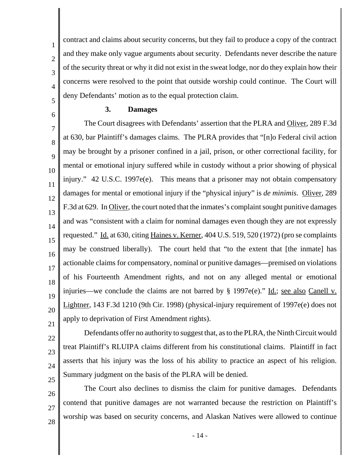contract and claims about security concerns, but they fail to produce a copy of the contract and they make only vague arguments about security. Defendants never describe the nature of the security threat or why it did not exist in the sweat lodge, nor do they explain how their concerns were resolved to the point that outside worship could continue. The Court will deny Defendants' motion as to the equal protection claim.

#### **3. Damages**

7 8 9 10 11 12 13 14 15 16 17 18 19 20 The Court disagrees with Defendants' assertion that the PLRA and Oliver, 289 F.3d at 630, bar Plaintiff's damages claims. The PLRA provides that "[n]o Federal civil action may be brought by a prisoner confined in a jail, prison, or other correctional facility, for mental or emotional injury suffered while in custody without a prior showing of physical injury." 42 U.S.C. 1997e(e). This means that a prisoner may not obtain compensatory damages for mental or emotional injury if the "physical injury" is *de minimis*. Oliver, 289 F.3d at 629. In Oliver, the court noted that the inmates's complaint sought punitive damages and was "consistent with a claim for nominal damages even though they are not expressly requested." Id. at 630, citing Haines v. Kerner, 404 U.S. 519, 520 (1972) (pro se complaints may be construed liberally). The court held that "to the extent that [the inmate] has actionable claims for compensatory, nominal or punitive damages—premised on violations of his Fourteenth Amendment rights, and not on any alleged mental or emotional injuries—we conclude the claims are not barred by  $\S$  1997e(e)." Id.; see also Canell v. Lightner, 143 F.3d 1210 (9th Cir. 1998) (physical-injury requirement of 1997e(e) does not apply to deprivation of First Amendment rights).

21 22 23

24

25

1

2

3

4

5

6

Defendants offer no authority to suggest that, as to the PLRA, the Ninth Circuit would treat Plaintiff's RLUIPA claims different from his constitutional claims. Plaintiff in fact asserts that his injury was the loss of his ability to practice an aspect of his religion. Summary judgment on the basis of the PLRA will be denied.

26 27 28 The Court also declines to dismiss the claim for punitive damages. Defendants contend that punitive damages are not warranted because the restriction on Plaintiff's worship was based on security concerns, and Alaskan Natives were allowed to continue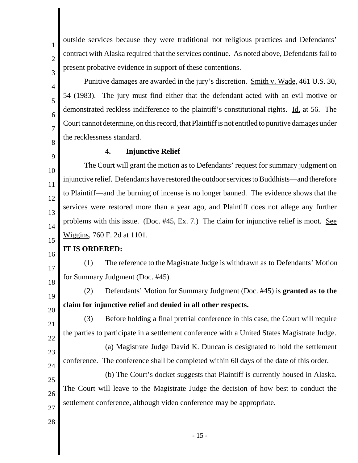2 3

4

5

6

7

1

outside services because they were traditional not religious practices and Defendants' contract with Alaska required that the services continue. As noted above, Defendants fail to present probative evidence in support of these contentions.

Punitive damages are awarded in the jury's discretion. Smith v. Wade, 461 U.S. 30, 54 (1983). The jury must find either that the defendant acted with an evil motive or demonstrated reckless indifference to the plaintiff's constitutional rights. Id. at 56. The Court cannot determine, on this record, that Plaintiff is not entitled to punitive damages under the recklessness standard.

8 9

# **4. Injunctive Relief**

10 11 12 13 14 15 The Court will grant the motion as to Defendants' request for summary judgment on injunctive relief. Defendants have restored the outdoor services to Buddhists—and therefore to Plaintiff—and the burning of incense is no longer banned. The evidence shows that the services were restored more than a year ago, and Plaintiff does not allege any further problems with this issue. (Doc. #45, Ex. 7.) The claim for injunctive relief is moot. <u>See</u> Wiggins, 760 F. 2d at 1101.

#### 16 **IT IS ORDERED:**

(1) The reference to the Magistrate Judge is withdrawn as to Defendants' Motion for Summary Judgment (Doc. #45).

18

17

19

20

21

(2) Defendants' Motion for Summary Judgment (Doc. #45) is **granted as to the claim for injunctive relief** and **denied in all other respects.**

(3) Before holding a final pretrial conference in this case, the Court will require the parties to participate in a settlement conference with a United States Magistrate Judge.

(a) Magistrate Judge David K. Duncan is designated to hold the settlement

23

22

24 25

(b) The Court's docket suggests that Plaintiff is currently housed in Alaska. The Court will leave to the Magistrate Judge the decision of how best to conduct the settlement conference, although video conference may be appropriate.

conference. The conference shall be completed within 60 days of the date of this order.

28

27